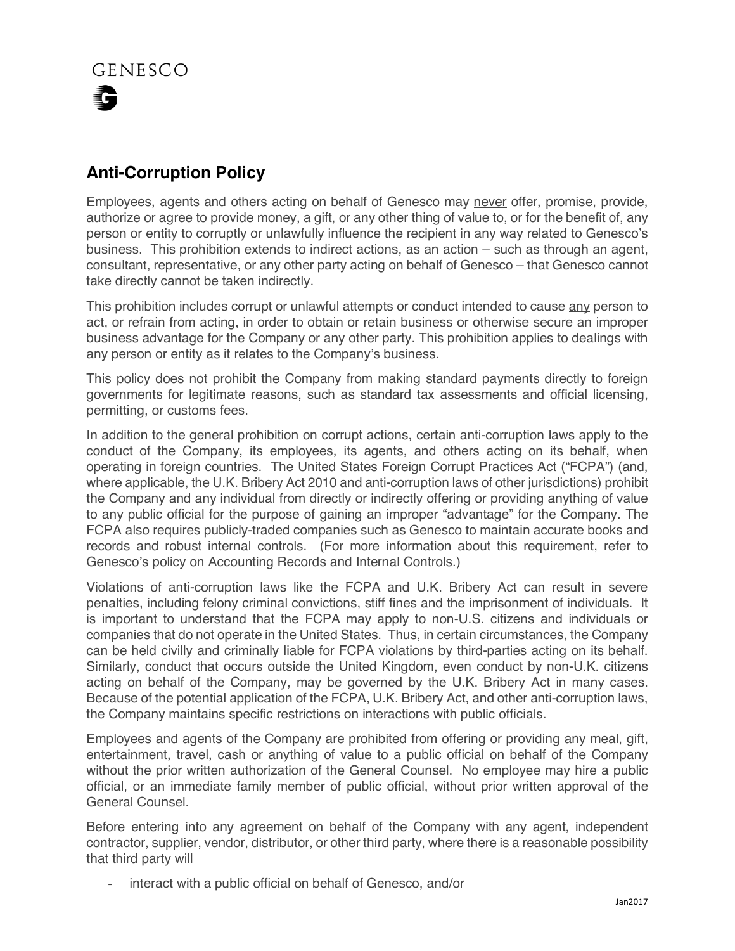## **Anti-Corruption Policy**

Employees, agents and others acting on behalf of Genesco may never offer, promise, provide, authorize or agree to provide money, a gift, or any other thing of value to, or for the benefit of, any person or entity to corruptly or unlawfully influence the recipient in any way related to Genesco's business. This prohibition extends to indirect actions, as an action – such as through an agent, consultant, representative, or any other party acting on behalf of Genesco – that Genesco cannot take directly cannot be taken indirectly.

This prohibition includes corrupt or unlawful attempts or conduct intended to cause any person to act, or refrain from acting, in order to obtain or retain business or otherwise secure an improper business advantage for the Company or any other party. This prohibition applies to dealings with any person or entity as it relates to the Company's business.

This policy does not prohibit the Company from making standard payments directly to foreign governments for legitimate reasons, such as standard tax assessments and official licensing, permitting, or customs fees.

In addition to the general prohibition on corrupt actions, certain anti-corruption laws apply to the conduct of the Company, its employees, its agents, and others acting on its behalf, when operating in foreign countries. The United States Foreign Corrupt Practices Act ("FCPA") (and, where applicable, the U.K. Bribery Act 2010 and anti-corruption laws of other jurisdictions) prohibit the Company and any individual from directly or indirectly offering or providing anything of value to any public official for the purpose of gaining an improper "advantage" for the Company. The FCPA also requires publicly-traded companies such as Genesco to maintain accurate books and records and robust internal controls. (For more information about this requirement, refer to Genesco's policy on Accounting Records and Internal Controls.)

Violations of anti-corruption laws like the FCPA and U.K. Bribery Act can result in severe penalties, including felony criminal convictions, stiff fines and the imprisonment of individuals. It is important to understand that the FCPA may apply to non-U.S. citizens and individuals or companies that do not operate in the United States. Thus, in certain circumstances, the Company can be held civilly and criminally liable for FCPA violations by third-parties acting on its behalf. Similarly, conduct that occurs outside the United Kingdom, even conduct by non-U.K. citizens acting on behalf of the Company, may be governed by the U.K. Bribery Act in many cases. Because of the potential application of the FCPA, U.K. Bribery Act, and other anti-corruption laws, the Company maintains specific restrictions on interactions with public officials.

Employees and agents of the Company are prohibited from offering or providing any meal, gift, entertainment, travel, cash or anything of value to a public official on behalf of the Company without the prior written authorization of the General Counsel. No employee may hire a public official, or an immediate family member of public official, without prior written approval of the General Counsel.

Before entering into any agreement on behalf of the Company with any agent, independent contractor, supplier, vendor, distributor, or other third party, where there is a reasonable possibility that third party will

interact with a public official on behalf of Genesco, and/or